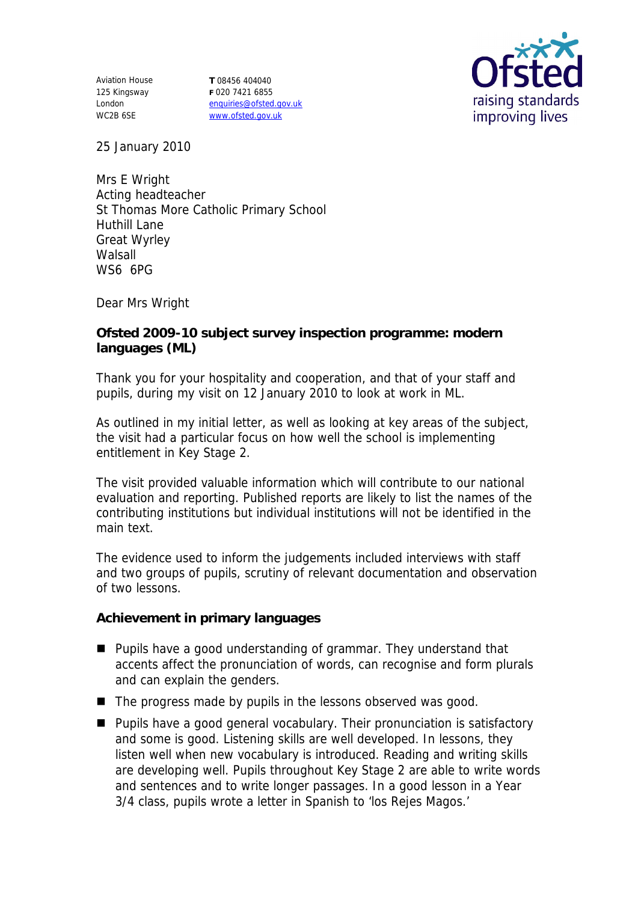Aviation House 125 Kingsway London WC2B 6SE

**T** 08456 404040 **F** 020 7421 6855 enquiries@ofsted.gov.uk www.ofsted.gov.uk



25 January 2010

Mrs E Wright Acting headteacher St Thomas More Catholic Primary School Huthill Lane Great Wyrley **Walsall** WS6 6PG

Dear Mrs Wright

**Ofsted 2009-10 subject survey inspection programme: modern languages (ML)**

Thank you for your hospitality and cooperation, and that of your staff and pupils, during my visit on 12 January 2010 to look at work in ML.

As outlined in my initial letter, as well as looking at key areas of the subject, the visit had a particular focus on how well the school is implementing entitlement in Key Stage 2.

The visit provided valuable information which will contribute to our national evaluation and reporting. Published reports are likely to list the names of the contributing institutions but individual institutions will not be identified in the main text.

The evidence used to inform the judgements included interviews with staff and two groups of pupils, scrutiny of relevant documentation and observation of two lessons.

**Achievement in primary languages**

- **Pupils have a good understanding of grammar. They understand that** accents affect the pronunciation of words, can recognise and form plurals and can explain the genders.
- $\blacksquare$  The progress made by pupils in the lessons observed was good.
- **Pupils have a good general vocabulary. Their pronunciation is satisfactory** and some is good. Listening skills are well developed. In lessons, they listen well when new vocabulary is introduced. Reading and writing skills are developing well. Pupils throughout Key Stage 2 are able to write words and sentences and to write longer passages. In a good lesson in a Year 3/4 class, pupils wrote a letter in Spanish to 'los Rejes Magos.'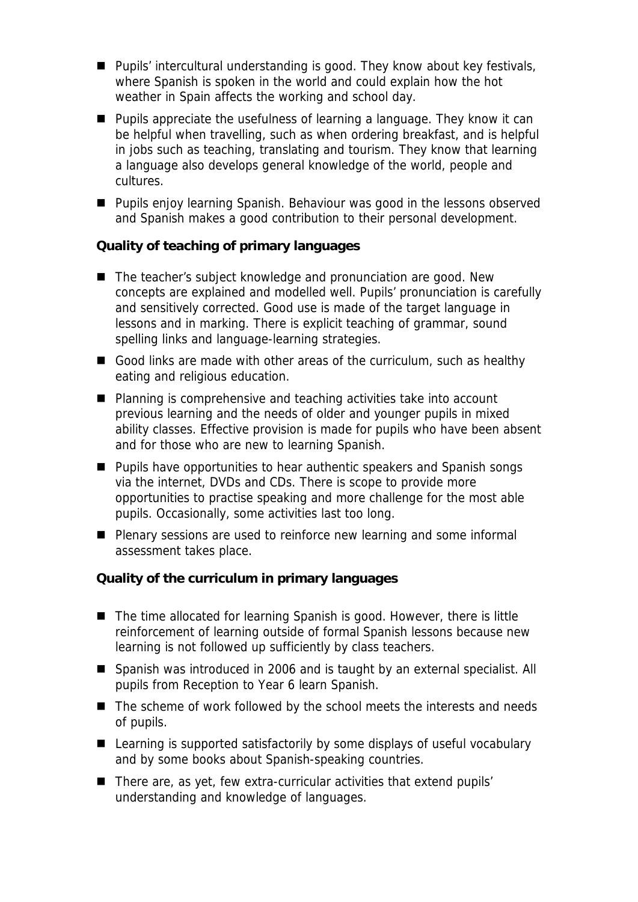- Pupils' intercultural understanding is good. They know about key festivals, where Spanish is spoken in the world and could explain how the hot weather in Spain affects the working and school day.
- **Pupils appreciate the usefulness of learning a language. They know it can** be helpful when travelling, such as when ordering breakfast, and is helpful in jobs such as teaching, translating and tourism. They know that learning a language also develops general knowledge of the world, people and cultures.
- **Pupils enjoy learning Spanish. Behaviour was good in the lessons observed** and Spanish makes a good contribution to their personal development.

**Quality of teaching of primary languages**

- The teacher's subject knowledge and pronunciation are good. New concepts are explained and modelled well. Pupils' pronunciation is carefully and sensitively corrected. Good use is made of the target language in lessons and in marking. There is explicit teaching of grammar, sound spelling links and language-learning strategies.
- Good links are made with other areas of the curriculum, such as healthy eating and religious education.
- Planning is comprehensive and teaching activities take into account previous learning and the needs of older and younger pupils in mixed ability classes. Effective provision is made for pupils who have been absent and for those who are new to learning Spanish.
- Pupils have opportunities to hear authentic speakers and Spanish songs via the internet, DVDs and CDs. There is scope to provide more opportunities to practise speaking and more challenge for the most able pupils. Occasionally, some activities last too long.
- **Plenary sessions are used to reinforce new learning and some informal** assessment takes place.

**Quality of the curriculum in primary languages**

- The time allocated for learning Spanish is good. However, there is little reinforcement of learning outside of formal Spanish lessons because new learning is not followed up sufficiently by class teachers.
- Spanish was introduced in 2006 and is taught by an external specialist. All pupils from Reception to Year 6 learn Spanish.
- The scheme of work followed by the school meets the interests and needs of pupils.
- Learning is supported satisfactorily by some displays of useful vocabulary and by some books about Spanish-speaking countries.
- There are, as yet, few extra-curricular activities that extend pupils' understanding and knowledge of languages.